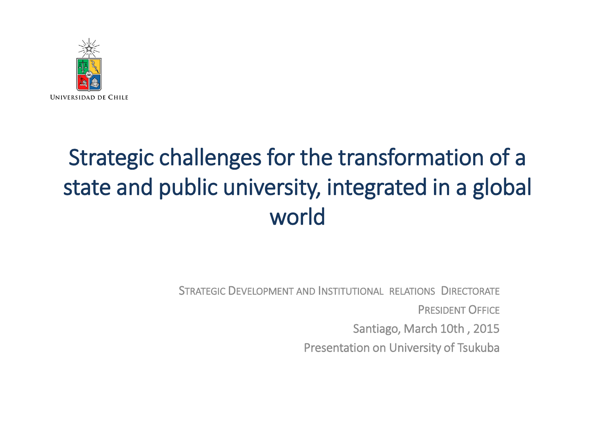

# Strategic challenges for the transformation of a state and public university, integrated in a global world

STRATEGIC DEVELOPMENT AND INSTITUTIONAL RELATIONS DIRECTORATE PRESIDENT OFFICE Santiago, March 10th , 2015 Presentation on University of Tsukuba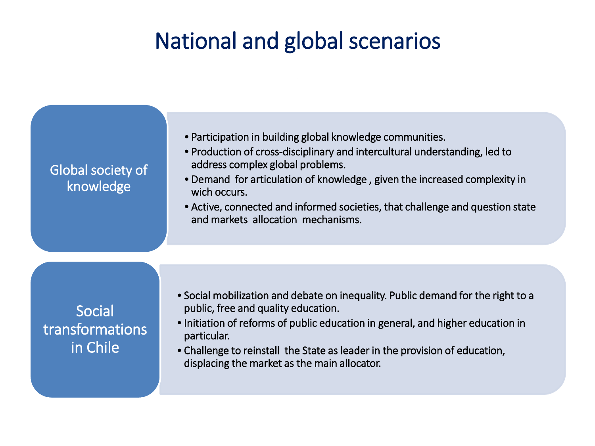### National and global scenarios

| <b>Global society of</b><br>knowledge | • Participation in building global knowledge communities.<br>• Production of cross-disciplinary and intercultural understanding, led to<br>address complex global problems.<br>• Demand for articulation of knowledge, given the increased complexity in<br>wich occurs.<br>• Active, connected and informed societies, that challenge and question state<br>and markets allocation mechanisms. |
|---------------------------------------|-------------------------------------------------------------------------------------------------------------------------------------------------------------------------------------------------------------------------------------------------------------------------------------------------------------------------------------------------------------------------------------------------|
| Social<br>transformations<br>in Chile | • Social mobilization and debate on inequality. Public demand for the right to a<br>public, free and quality education.<br>• Initiation of reforms of public education in general, and higher education in<br>particular.<br>• Challenge to reinstall the State as leader in the provision of education,<br>displacing the market as the main allocator.                                        |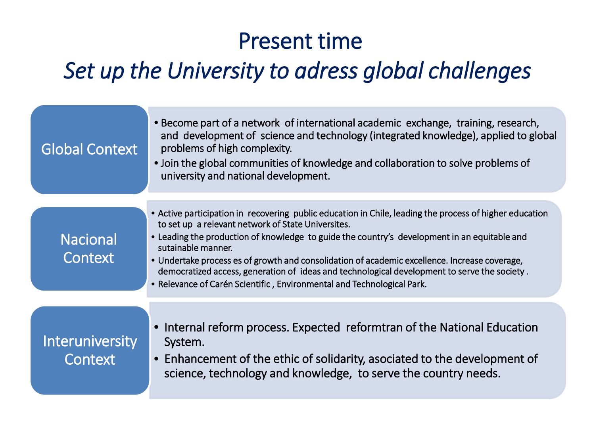### Present time

## *Set up the University to adress global challenges*

| <b>Global Context</b>             | • Become part of a network of international academic exchange, training, research,<br>and development of science and technology (integrated knowledge), applied to global<br>problems of high complexity.<br>• Join the global communities of knowledge and collaboration to solve problems of<br>university and national development. |
|-----------------------------------|----------------------------------------------------------------------------------------------------------------------------------------------------------------------------------------------------------------------------------------------------------------------------------------------------------------------------------------|
|                                   | • Active participation in recovering public education in Chile, leading the process of higher education                                                                                                                                                                                                                                |
|                                   | to set up a relevant network of State Universites.                                                                                                                                                                                                                                                                                     |
| <b>Nacional</b>                   | • Leading the production of knowledge to guide the country's development in an equitable and<br>sutainable manner.                                                                                                                                                                                                                     |
| Context                           | • Undertake process es of growth and consolidation of academic excellence. Increase coverage,                                                                                                                                                                                                                                          |
|                                   | democratized access, generation of ideas and technological development to serve the society.<br>• Relevance of Carén Scientific, Environmental and Technological Park.                                                                                                                                                                 |
|                                   |                                                                                                                                                                                                                                                                                                                                        |
| <b>Interuniversity</b><br>Context | Internal reform process. Expected reformtran of the National Education<br>System.<br>• Enhancement of the ethic of solidarity, asociated to the development of                                                                                                                                                                         |
|                                   | science, technology and knowledge, to serve the country needs.                                                                                                                                                                                                                                                                         |